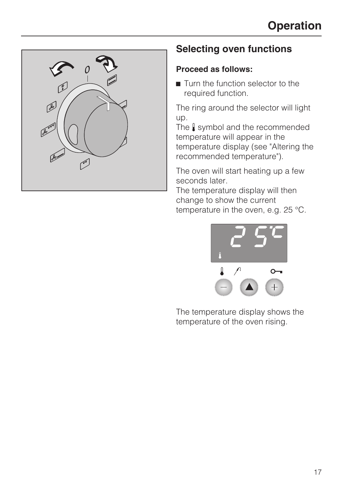

# **Selecting oven functions**

#### **Proceed as follows:**

 $\blacksquare$  Turn the function selector to the required function.

The ring around the selector will light up.

The  $\int$  symbol and the recommended temperature will appear in the temperature display (see "Altering the recommended temperature").

The oven will start heating up a few seconds later.

The temperature display will then change to show the current

temperature in the oven, e.g. 25 °C.



The temperature display shows the temperature of the oven rising.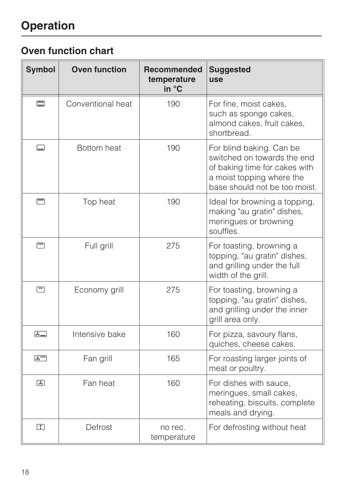# **Operation**

# **Oven function chart**

| <b>Symbol</b>                                     | <b>Oven function</b> | Recommended<br>temperature<br>in °C | <b>Suggested</b><br><b>use</b>                                                                                                                         |
|---------------------------------------------------|----------------------|-------------------------------------|--------------------------------------------------------------------------------------------------------------------------------------------------------|
| $\equiv$                                          | Conventional heat    | 190                                 | For fine, moist cakes,<br>such as sponge cakes,<br>almond cakes, fruit cakes,<br>shortbread.                                                           |
| $\Box$                                            | Bottom heat          | 190                                 | For blind baking. Can be<br>switched on towards the end<br>of baking time for cakes with<br>a moist topping where the<br>base should not be too moist. |
| ╒                                                 | Top heat             | 190                                 | Ideal for browning a topping,<br>making "au gratin" dishes,<br>meringues or browning<br>souffles.                                                      |
| $\boxed{11}$                                      | Full grill           | 275                                 | For toasting, browning a<br>topping, "au gratin" dishes,<br>and grilling under the full<br>width of the grill.                                         |
| $\lceil \overset{\text{\tiny{47}}}{\cdot} \rceil$ | Economy grill        | 275                                 | For toasting, browning a<br>topping, "au gratin" dishes,<br>and grilling under the inner<br>grill area only.                                           |
| ほコ                                                | Intensive bake       | 160                                 | For pizza, savoury flans,<br>quiches, cheese cakes.                                                                                                    |
| $x^{\text{av}}$                                   | Fan grill            | 165                                 | For roasting larger joints of<br>meat or poultry.                                                                                                      |
| 国                                                 | Fan heat             | 160                                 | For dishes with sauce,<br>meringues, small cakes,<br>reheating, biscuits, complete<br>meals and drying.                                                |
| $\begin{array}{c} \uparrow \end{array}$           | Defrost              | no rec.<br>temperature              | For defrosting without heat                                                                                                                            |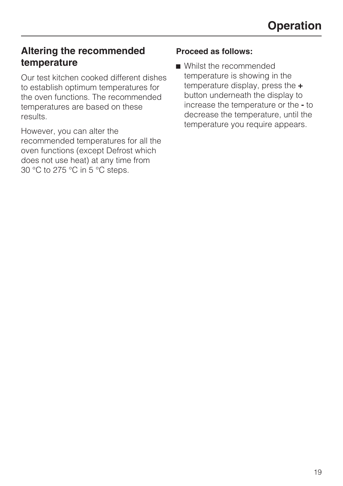## **Altering the recommended temperature**

Our test kitchen cooked different dishes to establish optimum temperatures for the oven functions. The recommended temperatures are based on these results.

However, you can alter the recommended temperatures for all the oven functions (except Defrost which does not use heat) at any time from 30 °C to 275 °C in 5 °C steps.

#### **Proceed as follows:**

■ Whilst the recommended temperature is showing in the temperature display, press the **+** button underneath the display to increase the temperature or the **-** to decrease the temperature, until the temperature you require appears.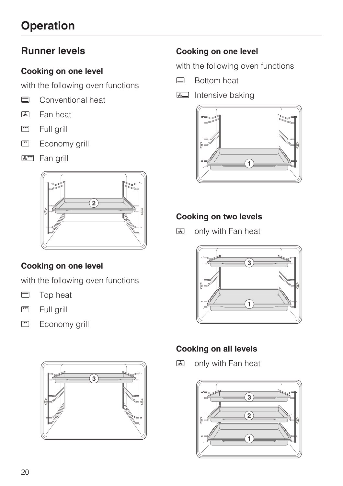# **Operation**

## **Runner levels**

#### **Cooking on one level**

with the following oven functions

- Conventional heat<br> **A** Fan heat
- Fan heat
- $\boxed{\phantom{a}^{\mathbf{v}\mathbf{v}}}$ Full grill
- $\boxed{1}$ Economy grill
- **A**<sup>m</sup> Fan grill



## **Cooking on one level**

with the following oven functions

- **D** Top heat
- $rac{\sqrt{1+\frac{1}{2}}}{\sqrt{1+\frac{1}{2}}}$ Full grill
- $\sqrt{25}$ Economy grill



### **Cooking on one level**

with the following oven functions

- $\Box$  Bottom heat
- **E** Intensive baking



### **Cooking on two levels**

**图** only with Fan heat



## **Cooking on all levels**

**图** only with Fan heat

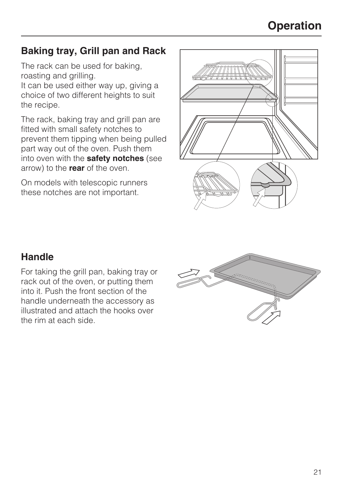# **Operation**

## **Baking tray, Grill pan and Rack**

The rack can be used for baking, roasting and grilling.

It can be used either way up, giving a choice of two different heights to suit the recipe.

The rack, baking tray and grill pan are fitted with small safety notches to prevent them tipping when being pulled part way out of the oven. Push them into oven with the **safety notches** (see arrow) to the **rear** of the oven.

On models with telescopic runners these notches are not important.



## **Handle**

For taking the grill pan, baking tray or rack out of the oven, or putting them into it. Push the front section of the handle underneath the accessory as illustrated and attach the hooks over the rim at each side.

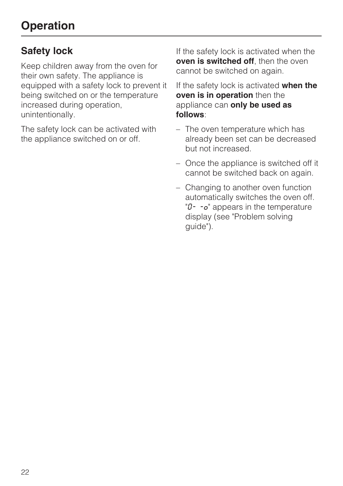# **Safety lock**

Keep children away from the oven for their own safety. The appliance is equipped with a safety lock to prevent it being switched on or the temperature increased during operation, unintentionally.

The safety lock can be activated with the appliance switched on or off.

If the safety lock is activated when the **oven is switched off**, then the oven cannot be switched on again.

If the safety lock is activated **when the oven is in operation** then the appliance can **only be used as follows**:

- The oven temperature which has already been set can be decreased but not increased.
- Once the appliance is switched off it cannot be switched back on again.
- Changing to another oven function automatically switches the oven off.  $\mathcal{O}$ -  $\mathcal{O}^{\dagger}$  appears in the temperature display (see "Problem solving guide").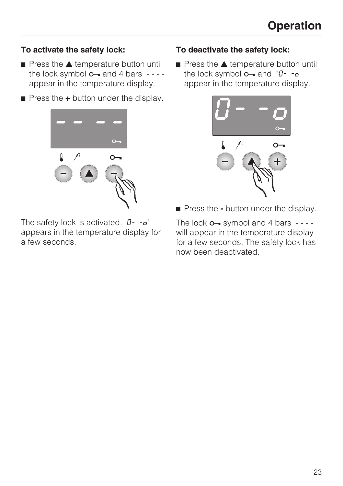#### **To activate the safety lock:**

- $\blacksquare$  Press the  $\blacktriangle$  temperature button until the lock symbol  $o$  and 4 bars  $-$  - appear in the temperature display.
- **Press the +** button under the display.



The safety lock is activated. " $0 - 0$ " appears in the temperature display for a few seconds.

#### **To deactivate the safety lock:**

 $\blacksquare$  Press the  $\blacktriangle$  temperature button until the lock symbol  $\overline{O}$  and " $\overline{O}$ - - $\overline{O}$ appear in the temperature display.



**Press the -** button under the display.

The lock  $o$  symbol and 4 bars  $-$ will appear in the temperature display for a few seconds. The safety lock has now been deactivated.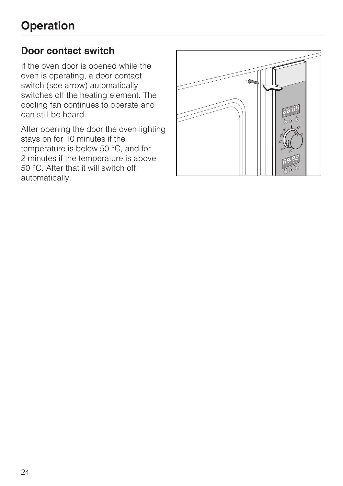## **Door contact switch**

If the oven door is opened while the oven is operating, a door contact switch (see arrow) automatically switches off the heating element. The cooling fan continues to operate and can still be heard.

After opening the door the oven lighting stays on for 10 minutes if the temperature is below 50 °C, and for 2 minutes if the temperature is above 50 °C. After that it will switch off automatically.